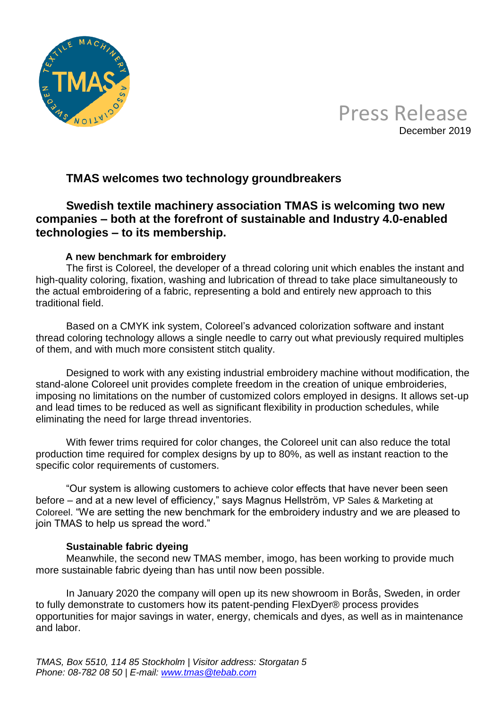



# **TMAS welcomes two technology groundbreakers**

# **Swedish textile machinery association TMAS is welcoming two new companies – both at the forefront of sustainable and Industry 4.0-enabled technologies – to its membership.**

# **A new benchmark for embroidery**

The first is Coloreel, the developer of a thread coloring unit which enables the instant and high-quality coloring, fixation, washing and lubrication of thread to take place simultaneously to the actual embroidering of a fabric, representing a bold and entirely new approach to this traditional field.

Based on a CMYK ink system, Coloreel's advanced colorization software and instant thread coloring technology allows a single needle to carry out what previously required multiples of them, and with much more consistent stitch quality.

Designed to work with any existing industrial embroidery machine without modification, the stand-alone Coloreel unit provides complete freedom in the creation of unique embroideries, imposing no limitations on the number of customized colors employed in designs. It allows set-up and lead times to be reduced as well as significant flexibility in production schedules, while eliminating the need for large thread inventories.

With fewer trims required for color changes, the Coloreel unit can also reduce the total production time required for complex designs by up to 80%, as well as instant reaction to the specific color requirements of customers.

"Our system is allowing customers to achieve color effects that have never been seen before – and at a new level of efficiency," says Magnus Hellström, VP Sales & Marketing at Coloreel. "We are setting the new benchmark for the embroidery industry and we are pleased to join TMAS to help us spread the word."

# **Sustainable fabric dyeing**

Meanwhile, the second new TMAS member, imogo, has been working to provide much more sustainable fabric dyeing than has until now been possible.

In January 2020 the company will open up its new showroom in Borås, Sweden, in order to fully demonstrate to customers how its patent-pending FlexDyer® process provides opportunities for major savings in water, energy, chemicals and dyes, as well as in maintenance and labor.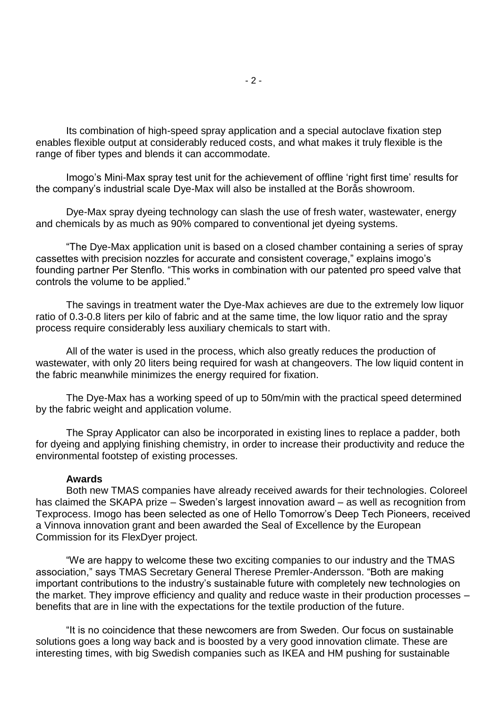Its combination of high-speed spray application and a special autoclave fixation step enables flexible output at considerably reduced costs, and what makes it truly flexible is the range of fiber types and blends it can accommodate.

Imogo's Mini-Max spray test unit for the achievement of offline 'right first time' results for the company's industrial scale Dye-Max will also be installed at the Borås showroom.

Dye-Max spray dyeing technology can slash the use of fresh water, wastewater, energy and chemicals by as much as 90% compared to conventional jet dyeing systems.

"The Dye-Max application unit is based on a closed chamber containing a series of spray cassettes with precision nozzles for accurate and consistent coverage," explains imogo's founding partner Per Stenflo. "This works in combination with our patented pro speed valve that controls the volume to be applied."

The savings in treatment water the Dye-Max achieves are due to the extremely low liquor ratio of 0.3-0.8 liters per kilo of fabric and at the same time, the low liquor ratio and the spray process require considerably less auxiliary chemicals to start with.

All of the water is used in the process, which also greatly reduces the production of wastewater, with only 20 liters being required for wash at changeovers. The low liquid content in the fabric meanwhile minimizes the energy required for fixation.

The Dye-Max has a working speed of up to 50m/min with the practical speed determined by the fabric weight and application volume.

The Spray Applicator can also be incorporated in existing lines to replace a padder, both for dyeing and applying finishing chemistry, in order to increase their productivity and reduce the environmental footstep of existing processes.

#### **Awards**

Both new TMAS companies have already received awards for their technologies. Coloreel has claimed the SKAPA prize – Sweden's largest innovation award – as well as recognition from Texprocess. Imogo has been selected as one of Hello Tomorrow's Deep Tech Pioneers, received a Vinnova innovation grant and been awarded the Seal of Excellence by the European Commission for its FlexDyer project.

"We are happy to welcome these two exciting companies to our industry and the TMAS association," says TMAS Secretary General Therese Premler-Andersson. "Both are making important contributions to the industry's sustainable future with completely new technologies on the market. They improve efficiency and quality and reduce waste in their production processes – benefits that are in line with the expectations for the textile production of the future.

"It is no coincidence that these newcomers are from Sweden. Our focus on sustainable solutions goes a long way back and is boosted by a very good innovation climate. These are interesting times, with big Swedish companies such as IKEA and HM pushing for sustainable